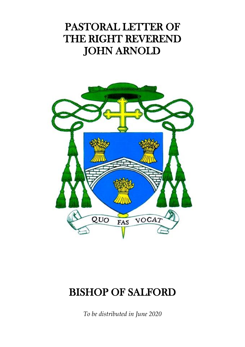## PASTORAL LETTER OF THE RIGHT REVEREND JOHN ARNOLD



## BISHOP OF SALFORD

*To be distributed in June 2020*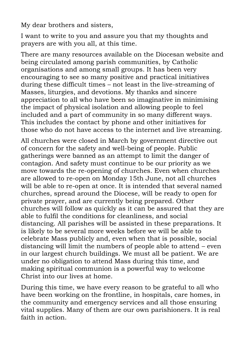My dear brothers and sisters,

I want to write to you and assure you that my thoughts and prayers are with you all, at this time.

There are many resources available on the Diocesan website and being circulated among parish communities, by Catholic organisations and among small groups. It has been very encouraging to see so many positive and practical initiatives during these difficult times – not least in the live-streaming of Masses, liturgies, and devotions. My thanks and sincere appreciation to all who have been so imaginative in minimising the impact of physical isolation and allowing people to feel included and a part of community in so many different ways. This includes the contact by phone and other initiatives for those who do not have access to the internet and live streaming.

All churches were closed in March by government directive out of concern for the safety and well-being of people. Public gatherings were banned as an attempt to limit the danger of contagion. And safety must continue to be our priority as we move towards the re-opening of churches. Even when churches are allowed to re-open on Monday 15th June, not all churches will be able to re-open at once. It is intended that several named churches, spread around the Diocese, will be ready to open for private prayer, and are currently being prepared. Other churches will follow as quickly as it can be assured that they are able to fulfil the conditions for cleanliness, and social distancing. All parishes will be assisted in these preparations. It is likely to be several more weeks before we will be able to celebrate Mass publicly and, even when that is possible, social distancing will limit the numbers of people able to attend – even in our largest church buildings. We must all be patient. We are under no obligation to attend Mass during this time, and making spiritual communion is a powerful way to welcome Christ into our lives at home.

During this time, we have every reason to be grateful to all who have been working on the frontline, in hospitals, care homes, in the community and emergency services and all those ensuring vital supplies. Many of them are our own parishioners. It is real faith in action.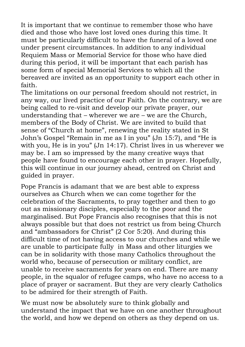It is important that we continue to remember those who have died and those who have lost loved ones during this time. It must be particularly difficult to have the funeral of a loved one under present circumstances. In addition to any individual Requiem Mass or Memorial Service for those who have died during this period, it will be important that each parish has some form of special Memorial Services to which all the bereaved are invited as an opportunity to support each other in faith.

The limitations on our personal freedom should not restrict, in any way, our lived practice of our Faith. On the contrary, we are being called to re-visit and develop our private prayer, our understanding that – wherever we are – we are the Church, members of the Body of Christ. We are invited to build that sense of "Church at home", renewing the reality stated in St John's Gospel "Remain in me as I in you" (Jn 15:7), and "He is with you. He is in you" (Jn 14:17). Christ lives in us wherever we may be. I am so impressed by the many creative ways that people have found to encourage each other in prayer. Hopefully, this will continue in our journey ahead, centred on Christ and guided in prayer.

Pope Francis is adamant that we are best able to express ourselves as Church when we can come together for the celebration of the Sacraments, to pray together and then to go out as missionary disciples, especially to the poor and the marginalised. But Pope Francis also recognises that this is not always possible but that does not restrict us from being Church and "ambassadors for Christ" (2 Cor 5:20). And during this difficult time of not having access to our churches and while we are unable to participate fully in Mass and other liturgies we can be in solidarity with those many Catholics throughout the world who, because of persecution or military conflict, are unable to receive sacraments for years on end. There are many people, in the squalor of refugee camps, who have no access to a place of prayer or sacrament. But they are very clearly Catholics to be admired for their strength of Faith.

We must now be absolutely sure to think globally and understand the impact that we have on one another throughout the world, and how we depend on others as they depend on us.